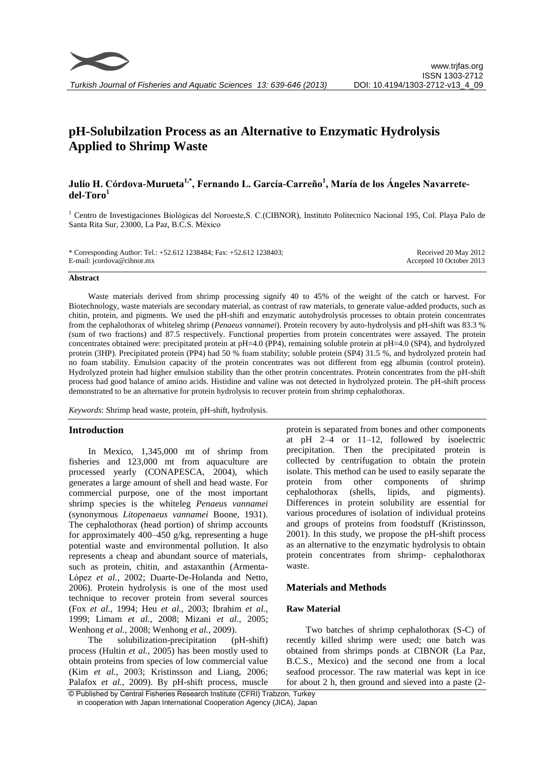

# **pH-Solubilzation Process as an Alternative to Enzymatic Hydrolysis Applied to Shrimp Waste**

# **Julio H. Córdova-Murueta1,\*, Fernando L. García-Carreño<sup>1</sup> , María de los Ángeles Navarretedel-Toro<sup>1</sup>**

<sup>1</sup> Centro de Investigaciones Biológicas del Noroeste,S. C.(CIBNOR), Instituto Politecnico Nacional 195, Col. Playa Palo de Santa Rita Sur, 23000, La Paz, B.C.S. México

| * Corresponding Author: Tel.: +52.612 1238484; Fax: +52.612 1238403; | Received 20 May 2012     |
|----------------------------------------------------------------------|--------------------------|
| E-mail: jcordova@cibnor.mx                                           | Accepted 10 October 2013 |

#### **Abstract**

Waste materials derived from shrimp processing signify 40 to 45% of the weight of the catch or harvest. For Biotechnology, waste materials are secondary material, as contrast of raw materials, to generate value-added products, such as chitin, protein, and pigments. We used the pH-shift and enzymatic autohydrolysis processes to obtain protein concentrates from the cephalothorax of whiteleg shrimp (*Penaeus vannamei*). Protein recovery by auto-hydrolysis and pH-shift was 83.3 % (sum of two fractions) and 87.5 respectively. Functional properties from protein concentrates were assayed. The protein concentrates obtained were: precipitated protein at pH=4.0 (PP4), remaining soluble protein at pH=4.0 (SP4), and hydrolyzed protein (3HP). Precipitated protein (PP4) had 50 % foam stability; soluble protein (SP4) 31.5 %, and hydrolyzed protein had no foam stability. Emulsion capacity of the protein concentrates was not different from egg albumin (control protein). Hydrolyzed protein had higher emulsion stability than the other protein concentrates. Protein concentrates from the pH-shift process had good balance of amino acids. Histidine and valine was not detected in hydrolyzed protein. The pH-shift process demonstrated to be an alternative for protein hydrolysis to recover protein from shrimp cephalothorax.

*Keywords*: Shrimp head waste, protein, pH-shift, hydrolysis.

#### **Introduction**

In Mexico, 1,345,000 mt of shrimp from fisheries and 123,000 mt from aquaculture are processed yearly [\(CONAPESCA, 2004\)](#page-6-0), which generates a large amount of shell and head waste. For commercial purpose, one of the most important shrimp species is the whiteleg *Penaeus vannamei* (synonymous *Litopenaeus vannamei* Boone, 1931). The cephalothorax (head portion) of shrimp accounts for approximately 400–450 g/kg, representing a huge potential waste and environmental pollution. It also represents a cheap and abundant source of materials, such as protein, chitin, and astaxanthin [\(Armenta-](#page-6-1)López *et al.*[, 2002;](#page-6-1) [Duarte-De-Holanda and Netto,](#page-6-2)  [2006\)](#page-6-2). Protein hydrolysis is one of the most used technique to recover protein from several sources (Fox *et al.*[, 1994;](#page-6-3) Heu *et al.*[, 2003;](#page-6-4) [Ibrahim](#page-7-0) *et al.*, [1999;](#page-7-0) [Limam](#page-7-1) *et al.*, 2008; [Mizani](#page-7-2) *et al.*, 2005; [Wenhong](#page-7-3) *et al.*, 2008; [Wenhong](#page-7-4) *et al.*, 2009).

The solubilization-precipitation (pH-shift) process [\(Hultin](#page-7-5) *et al.*, 2005) has been mostly used to obtain proteins from species of low commercial value (Kim *et al.*[, 2003;](#page-7-6) [Kristinsson and Liang, 2006;](#page-7-7) [Palafox](#page-7-8) *et al.*, 2009). By pH-shift process, muscle

protein is separated from bones and other components at pH 2–4 or 11–12, followed by isoelectric precipitation. Then the precipitated protein is collected by centrifugation to obtain the protein isolate. This method can be used to easily separate the protein from other components of shrimp cephalothorax (shells, lipids, and pigments). Differences in protein solubility are essential for various procedures of isolation of individual proteins and groups of proteins from foodstuff [\(Kristinsson,](#page-7-9)  [2001\)](#page-7-9). In this study, we propose the pH-shift process as an alternative to the enzymatic hydrolysis to obtain protein concentrates from shrimp- cephalothorax waste.

# **Materials and Methods**

# **Raw Material**

Two batches of shrimp cephalothorax (S-C) of recently killed shrimp were used; one batch was obtained from shrimps ponds at CIBNOR (La Paz, B.C.S., Mexico) and the second one from a local seafood processor. The raw material was kept in ice for about 2 h, then ground and sieved into a paste (2-

<sup>©</sup> Published by Central Fisheries Research Institute (CFRI) Trabzon, Turkey in cooperation with Japan International Cooperation Agency (JICA), Japan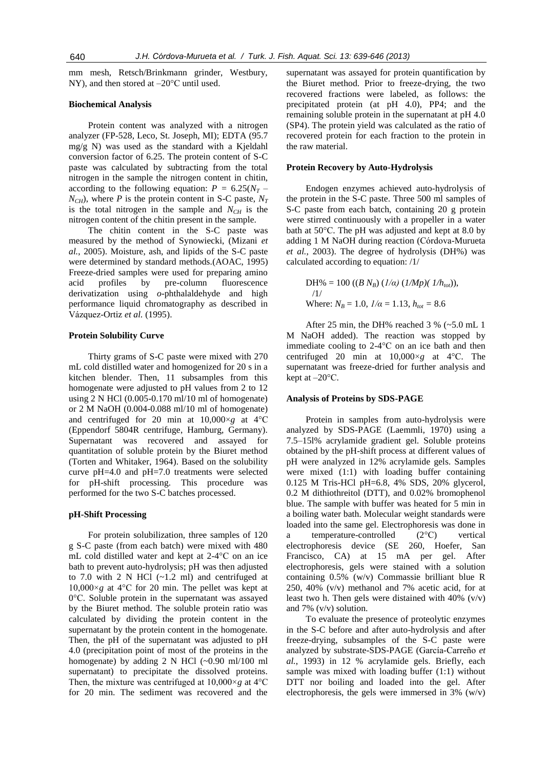mm mesh, Retsch/Brinkmann grinder, Westbury, NY), and then stored at –20°C until used.

# **Biochemical Analysis**

Protein content was analyzed with a nitrogen analyzer (FP-528, Leco, St. Joseph, MI); EDTA (95.7 mg/g N) was used as the standard with a Kjeldahl conversion factor of 6.25. The protein content of S-C paste was calculated by subtracting from the total nitrogen in the sample the nitrogen content in chitin, according to the following equation:  $P = 6.25(N_T N_{CH}$ ), where *P* is the protein content in S-C paste,  $N_T$ is the total nitrogen in the sample and  $N_{CH}$  is the nitrogen content of the chitin present in the sample.

The chitin content in the S-C paste was measured by the method of Synowiecki, [\(Mizani](#page-7-2) *et al.*[, 2005\)](#page-7-2). Moisture, ash, and lipids of the S-C paste were determined by standard methods.[\(AOAC, 1995\)](#page-6-5) Freeze-dried samples were used for preparing amino acid profiles by pre-column fluorescence derivatization using *o*-phthalaldehyde and high performance liquid chromatography as described in Vázquez-Ortiz *et al.* [\(1995\)](#page-7-10).

#### **Protein Solubility Curve**

Thirty grams of S-C paste were mixed with 270 mL cold distilled water and homogenized for 20 s in a kitchen blender. Then, 11 subsamples from this homogenate were adjusted to pH values from 2 to 12 using 2 N HCl (0.005-0.170 ml/10 ml of homogenate) or 2 M NaOH (0.004-0.088 ml/10 ml of homogenate) and centrifuged for 20 min at 10,000×*g* at 4°C (Eppendorf 5804R centrifuge, Hamburg, Germany). Supernatant was recovered and assayed for quantitation of soluble protein by the Biuret method [\(Torten and Whitaker, 1964\)](#page-7-11). Based on the solubility curve pH=4.0 and pH=7.0 treatments were selected for pH-shift processing. This procedure was performed for the two S-C batches processed.

## **pH-Shift Processing**

For protein solubilization, three samples of 120 g S-C paste (from each batch) were mixed with 480 mL cold distilled water and kept at 2-4°C on an ice bath to prevent auto-hydrolysis; pH was then adjusted to 7.0 with 2 N HCl  $(-1.2 \text{ ml})$  and centrifuged at  $10,000\times g$  at  $4^{\circ}$ C for 20 min. The pellet was kept at 0°C. Soluble protein in the supernatant was assayed by the Biuret method. The soluble protein ratio was calculated by dividing the protein content in the supernatant by the protein content in the homogenate. Then, the pH of the supernatant was adjusted to pH 4.0 (precipitation point of most of the proteins in the homogenate) by adding  $2 \text{ N}$  HCl (~0.90 ml/100 ml supernatant) to precipitate the dissolved proteins. Then, the mixture was centrifuged at  $10,000 \times g$  at  $4^{\circ}$ C for 20 min. The sediment was recovered and the supernatant was assayed for protein quantification by the Biuret method. Prior to freeze-drying, the two recovered fractions were labeled, as follows: the precipitated protein (at pH 4.0), PP4; and the remaining soluble protein in the supernatant at pH 4.0 (SP4). The protein yield was calculated as the ratio of recovered protein for each fraction to the protein in the raw material.

#### **Protein Recovery by Auto-Hydrolysis**

Endogen enzymes achieved auto-hydrolysis of the protein in the S-C paste. Three 500 ml samples of S-C paste from each batch, containing 20 g protein were stirred continuously with a propeller in a water bath at 50°C. The pH was adjusted and kept at 8.0 by adding 1 M NaOH during reaction [\(Córdova-Murueta](#page-6-6)  *et al.*[, 2003\)](#page-6-6). The degree of hydrolysis (DH%) was calculated according to equation: /1/

DH% = 100 ((*B N<sub>B</sub>*) (*1/a*) (*1/Mp*)(*1/h<sub>tot</sub>*)),  
\n
$$
\frac{1}{}
$$
\nWhere:  $N_B = 1.0$ ,  $1/\alpha = 1.13$ ,  $h_{tot} = 8.6$ 

After 25 min, the DH% reached 3 % (~5.0 mL 1 M NaOH added). The reaction was stopped by immediate cooling to 2-4°C on an ice bath and then centrifuged 20 min at  $10,000 \times g$  at  $4^{\circ}$ C. The supernatant was freeze-dried for further analysis and kept at –20°C.

#### **Analysis of Proteins by SDS-PAGE**

Protein in samples from auto-hydrolysis were analyzed by SDS-PAGE [\(Laemmli, 1970\)](#page-7-12) using a 7.5–15l% acrylamide gradient gel. Soluble proteins obtained by the pH-shift process at different values of pH were analyzed in 12% acrylamide gels. Samples were mixed (1:1) with loading buffer containing 0.125 M Tris-HCl pH=6.8, 4% SDS, 20% glycerol, 0.2 M dithiothreitol (DTT), and 0.02% bromophenol blue. The sample with buffer was heated for 5 min in a boiling water bath. Molecular weight standards were loaded into the same gel. Electrophoresis was done in a temperature-controlled (2°C) vertical electrophoresis device (SE 260, Hoefer, San Francisco, CA) at 15 mA per gel. After electrophoresis, gels were stained with a solution containing 0.5% (w/v) Commassie brilliant blue R 250, 40% (v/v) methanol and 7% acetic acid, for at least two h. Then gels were distained with 40% (v/v) and 7%  $(v/v)$  solution.

To evaluate the presence of proteolytic enzymes in the S-C before and after auto-hydrolysis and after freeze-drying, subsamples of the S-C paste were analyzed by substrate-SDS-PAGE [\(García-Carreño](#page-6-7) *et al.*[, 1993\)](#page-6-7) in 12 % acrylamide gels. Briefly, each sample was mixed with loading buffer (1:1) without DTT nor boiling and loaded into the gel. After electrophoresis, the gels were immersed in 3% (w/v)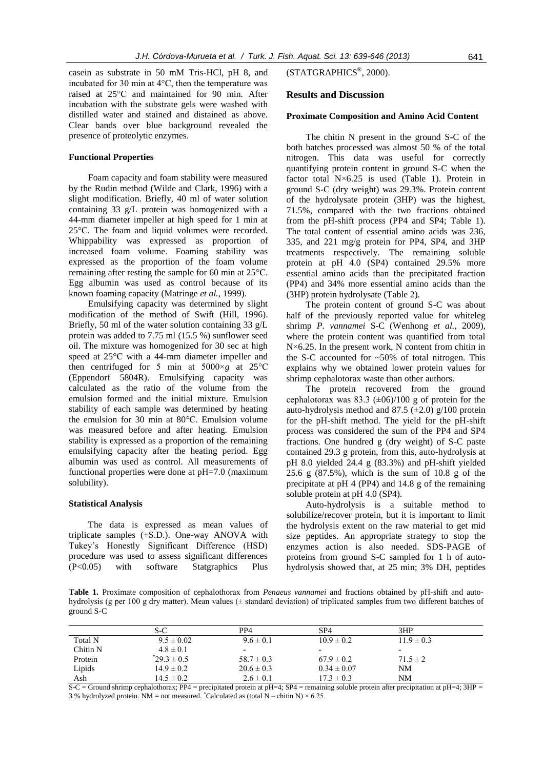casein as substrate in 50 mM Tris-HCl, pH 8, and incubated for 30 min at 4°C, then the temperature was raised at 25°C and maintained for 90 min. After incubation with the substrate gels were washed with distilled water and stained and distained as above. Clear bands over blue background revealed the presence of proteolytic enzymes.

#### **Functional Properties**

Foam capacity and foam stability were measured by the Rudin method [\(Wilde and Clark, 1996\)](#page-7-13) with a slight modification. Briefly, 40 ml of water solution containing 33 g/L protein was homogenized with a 44-mm diameter impeller at high speed for 1 min at 25°C. The foam and liquid volumes were recorded. Whippability was expressed as proportion of increased foam volume. Foaming stability was expressed as the proportion of the foam volume remaining after resting the sample for 60 min at 25°C. Egg albumin was used as control because of its known foaming capacity [\(Matringe](#page-7-14) *et al.*, 1999).

Emulsifying capacity was determined by slight modification of the method of Swift [\(Hill, 1996\)](#page-7-15). Briefly, 50 ml of the water solution containing 33 g/L protein was added to 7.75 ml (15.5 %) sunflower seed oil. The mixture was homogenized for 30 sec at high speed at 25°C with a 44-mm diameter impeller and then centrifuged for 5 min at  $5000 \times g$  at  $25^{\circ}$ C (Eppendorf 5804R). Emulsifying capacity was calculated as the ratio of the volume from the emulsion formed and the initial mixture. Emulsion stability of each sample was determined by heating the emulsion for 30 min at 80°C. Emulsion volume was measured before and after heating. Emulsion stability is expressed as a proportion of the remaining emulsifying capacity after the heating period. Egg albumin was used as control. All measurements of functional properties were done at pH=7.0 (maximum solubility).

#### **Statistical Analysis**

The data is expressed as mean values of triplicate samples  $(\pm S.D.)$ . One-way ANOVA with Tukey's Honestly Significant Difference (HSD) procedure was used to assess significant differences (P<0.05) with software Statgraphics Plus

# [\(STATGRAPHICS](#page-7-16)® , 2000).

# **Results and Discussion**

# **Proximate Composition and Amino Acid Content**

The chitin N present in the ground S-C of the both batches processed was almost 50 % of the total nitrogen. This data was useful for correctly quantifying protein content in ground S-C when the factor total  $N\times 6.25$  is used (Table 1). Protein in ground S-C (dry weight) was 29.3%. Protein content of the hydrolysate protein (3HP) was the highest, 71.5%, compared with the two fractions obtained from the pH-shift process (PP4 and SP4; Table 1). The total content of essential amino acids was 236, 335, and 221 mg/g protein for PP4, SP4, and 3HP treatments respectively. The remaining soluble protein at pH 4.0 (SP4) contained 29.5% more essential amino acids than the precipitated fraction (PP4) and 34% more essential amino acids than the (3HP) protein hydrolysate (Table 2).

The protein content of ground S-C was about half of the previously reported value for whiteleg shrimp *P. vannamei* S-C [\(Wenhong](#page-7-4) *et al.*, 2009), where the protein content was quantified from total  $N\times 6.25$ . In the present work, N content from chitin in the S-C accounted for  $~50\%$  of total nitrogen. This explains why we obtained lower protein values for shrimp cephalotorax waste than other authors.

The protein recovered from the ground cephalotorax was 83.3  $(\pm 06)/100$  g of protein for the auto-hydrolysis method and 87.5  $(\pm 2.0)$  g/100 protein for the pH-shift method. The yield for the pH-shift process was considered the sum of the PP4 and SP4 fractions. One hundred g (dry weight) of S-C paste contained 29.3 g protein, from this, auto-hydrolysis at pH 8.0 yielded 24.4 g (83.3%) and pH-shift yielded 25.6 g (87.5%), which is the sum of 10.8 g of the precipitate at pH 4 (PP4) and 14.8 g of the remaining soluble protein at pH 4.0 (SP4).

Auto-hydrolysis is a suitable method to solubilize/recover protein, but it is important to limit the hydrolysis extent on the raw material to get mid size peptides. An appropriate strategy to stop the enzymes action is also needed. SDS-PAGE of proteins from ground S-C sampled for 1 h of autohydrolysis showed that, at 25 min; 3% DH, peptides

**Table 1.** Proximate composition of cephalothorax from *Penaeus vannamei* and fractions obtained by pH-shift and autohydrolysis (g per 100 g dry matter). Mean values ( $\pm$  standard deviation) of triplicated samples from two different batches of ground S-C

|          | S-C            | PP4            | SP <sub>4</sub>          | 3HP                      |
|----------|----------------|----------------|--------------------------|--------------------------|
| Total N  | $9.5 \pm 0.02$ | $9.6 \pm 0.1$  | $10.9 \pm 0.2$           | $11.9 \pm 0.3$           |
| Chitin N | $4.8 \pm 0.1$  |                | $\overline{\phantom{0}}$ | $\overline{\phantom{0}}$ |
| Protein  | $29.3 \pm 0.5$ | $58.7 \pm 0.3$ | $67.9 \pm 0.2$           | $71.5 \pm 2$             |
| Lipids   | $14.9 \pm 0.2$ | $20.6 \pm 0.3$ | $0.34 \pm 0.07$          | <b>NM</b>                |
| Ash      | $14.5 \pm 0.2$ | $2.6 \pm 0.1$  | $17.3 \pm 0.3$           | <b>NM</b>                |

S-C = Ground shrimp cephalothorax; PP4 = precipitated protein at pH=4; SP4 = remaining soluble protein after precipitation at pH=4; 3HP = 3 % hydrolyzed protein. NM = not measured. \*Calculated as (total N – chitin N)  $\times$  6.25.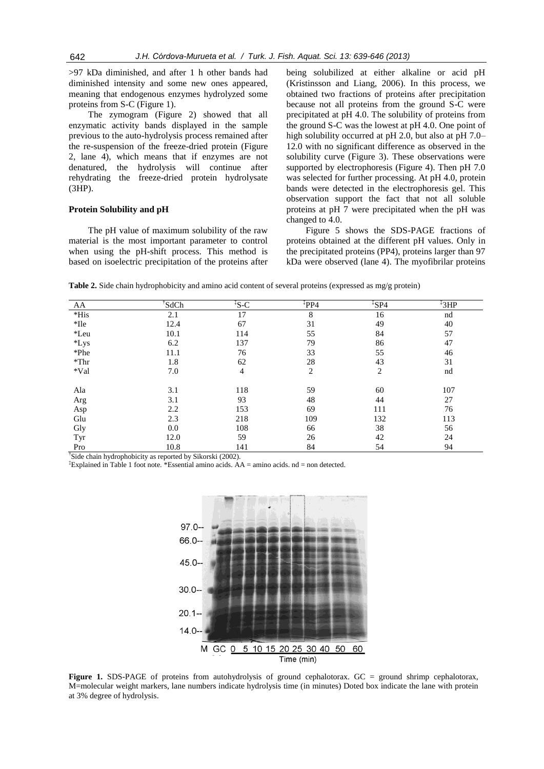>97 kDa diminished, and after 1 h other bands had diminished intensity and some new ones appeared, meaning that endogenous enzymes hydrolyzed some proteins from S-C (Figure 1).

The zymogram (Figure 2) showed that all enzymatic activity bands displayed in the sample previous to the auto-hydrolysis process remained after the re-suspension of the freeze-dried protein (Figure 2, lane 4), which means that if enzymes are not denatured, the hydrolysis will continue after rehydrating the freeze-dried protein hydrolysate (3HP).

#### **Protein Solubility and pH**

The pH value of maximum solubility of the raw material is the most important parameter to control when using the pH-shift process. This method is based on isoelectric precipitation of the proteins after being solubilized at either alkaline or acid pH [\(Kristinsson and Liang, 2006\)](#page-7-7). In this process, we obtained two fractions of proteins after precipitation because not all proteins from the ground S-C were precipitated at pH 4.0. The solubility of proteins from the ground S-C was the lowest at pH 4.0. One point of high solubility occurred at pH 2.0, but also at pH 7.0– 12.0 with no significant difference as observed in the solubility curve (Figure 3). These observations were supported by electrophoresis (Figure 4). Then pH 7.0 was selected for further processing. At pH 4.0, protein bands were detected in the electrophoresis gel. This observation support the fact that not all soluble proteins at pH 7 were precipitated when the pH was changed to 4.0.

Figure 5 shows the SDS-PAGE fractions of proteins obtained at the different pH values. Only in the precipitated proteins (PP4), proteins larger than 97 kDa were observed (lane 4). The myofibrilar proteins

**Table 2.** Side chain hydrophobicity and amino acid content of several proteins (expressed as mg/g protein)

| AA      | SdCh | ${}^{\ddagger}$ S-C | $*PP4$         | $\sqrt[4]{5P4}$ | ${}^{4}3HP$ |
|---------|------|---------------------|----------------|-----------------|-------------|
| $*$ His | 2.1  | 17                  | 8              | 16              | nd          |
| *Ile    | 12.4 | 67                  | 31             | 49              | 40          |
| *Leu    | 10.1 | 114                 | 55             | 84              | 57          |
| $*Lys$  | 6.2  | 137                 | 79             | 86              | 47          |
| *Phe    | 11.1 | 76                  | 33             | 55              | 46          |
| $*$ Thr | 1.8  | 62                  | 28             | 43              | 31          |
| *Val    | 7.0  | 4                   | $\overline{2}$ | 2               | nd          |
| Ala     | 3.1  | 118                 | 59             | 60              | 107         |
| Arg     | 3.1  | 93                  | 48             | 44              | 27          |
| Asp     | 2.2  | 153                 | 69             | 111             | 76          |
| Glu     | 2.3  | 218                 | 109            | 132             | 113         |
| Gly     | 0.0  | 108                 | 66             | 38              | 56          |
| Tyr     | 12.0 | 59                  | 26             | 42              | 24          |
| Pro     | 10.8 | 141                 | 84             | 54              | 94          |

† Side chain hydrophobicity as reported by Sikorski [\(2002\)](#page-7-17).

‡Explained in Table 1 foot note. \*Essential amino acids. AA = amino acids. nd = non detected.



**Figure 1.** SDS-PAGE of proteins from autohydrolysis of ground cephalotorax. GC = ground shrimp cephalotorax, M=molecular weight markers, lane numbers indicate hydrolysis time (in minutes) Doted box indicate the lane with protein at 3% degree of hydrolysis.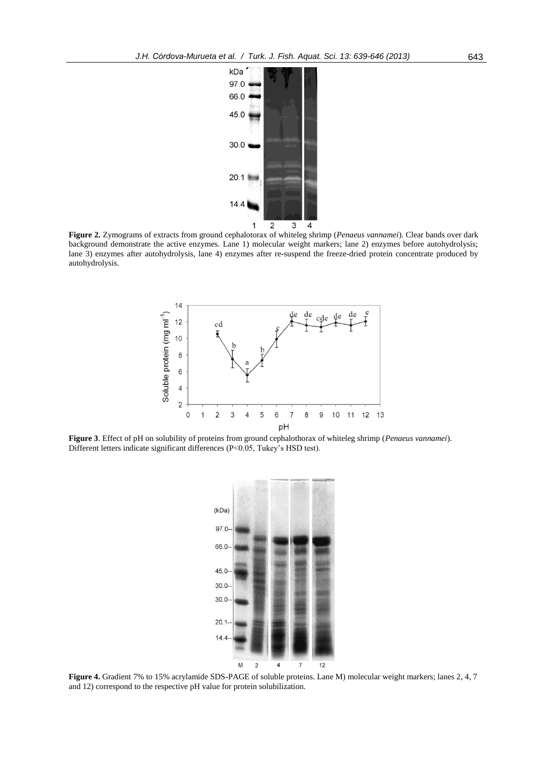

**Figure 2.** Zymograms of extracts from ground cephalotorax of whiteleg shrimp (*Penaeus vannamei*). Clear bands over dark background demonstrate the active enzymes. Lane 1) molecular weight markers; lane 2) enzymes before autohydrolysis; lane 3) enzymes after autohydrolysis, lane 4) enzymes after re-suspend the freeze-dried protein concentrate produced by autohydrolysis.



**Figure 3**. Effect of pH on solubility of proteins from ground cephalothorax of whiteleg shrimp (*Penaeus vannamei*). Different letters indicate significant differences (P<0.05, Tukey's HSD test).



**Figure 4.** Gradient 7% to 15% acrylamide SDS-PAGE of soluble proteins. Lane M) molecular weight markers; lanes 2, 4, 7 and 12) correspond to the respective pH value for protein solubilization.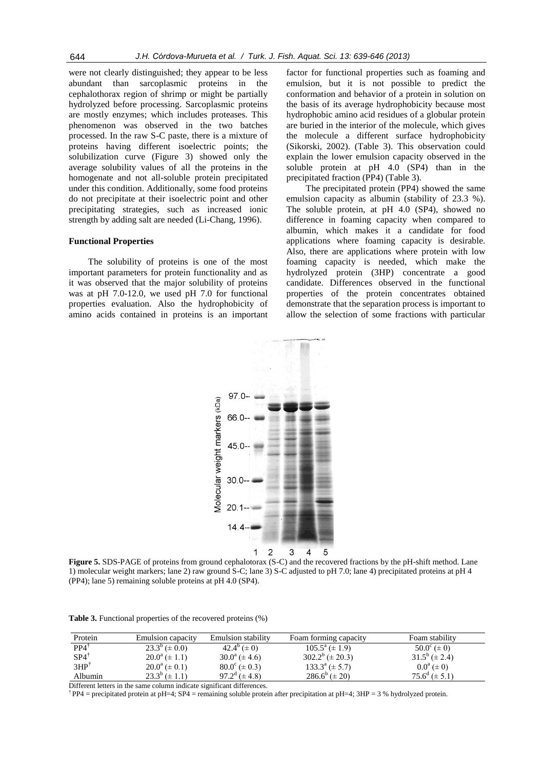were not clearly distinguished; they appear to be less abundant than sarcoplasmic proteins in the cephalothorax region of shrimp or might be partially hydrolyzed before processing. Sarcoplasmic proteins are mostly enzymes; which includes proteases. This phenomenon was observed in the two batches processed. In the raw S-C paste, there is a mixture of proteins having different isoelectric points; the solubilization curve (Figure 3) showed only the average solubility values of all the proteins in the homogenate and not all-soluble protein precipitated under this condition. Additionally, some food proteins do not precipitate at their isoelectric point and other precipitating strategies, such as increased ionic strength by adding salt are needed [\(Li-Chang, 1996\)](#page-7-18).

#### **Functional Properties**

The solubility of proteins is one of the most important parameters for protein functionality and as it was observed that the major solubility of proteins was at pH 7.0-12.0, we used pH 7.0 for functional properties evaluation. Also the hydrophobicity of amino acids contained in proteins is an important

factor for functional properties such as foaming and emulsion, but it is not possible to predict the conformation and behavior of a protein in solution on the basis of its average hydrophobicity because most hydrophobic amino acid residues of a globular protein are buried in the interior of the molecule, which gives the molecule a different surface hydrophobicity [\(Sikorski, 2002\)](#page-7-17). (Table 3). This observation could explain the lower emulsion capacity observed in the soluble protein at pH 4.0 (SP4) than in the precipitated fraction (PP4) (Table 3).

The precipitated protein (PP4) showed the same emulsion capacity as albumin (stability of 23.3 %). The soluble protein, at pH 4.0 (SP4), showed no difference in foaming capacity when compared to albumin, which makes it a candidate for food applications where foaming capacity is desirable. Also, there are applications where protein with low foaming capacity is needed, which make the hydrolyzed protein (3HP) concentrate a good candidate. Differences observed in the functional properties of the protein concentrates obtained demonstrate that the separation process is important to allow the selection of some fractions with particular



**Figure 5.** SDS-PAGE of proteins from ground cephalotorax (S-C) and the recovered fractions by the pH-shift method. Lane 1) molecular weight markers; lane 2) raw ground S-C; lane 3) S-C adjusted to pH 7.0; lane 4) precipitated proteins at pH 4 (PP4); lane 5) remaining soluble proteins at pH 4.0 (SP4).

**Table 3.** Functional properties of the recovered proteins (%)

| Protein         | <b>Emulsion capacity</b>   | <b>Emulsion stability</b>        | Foam forming capacity  | Foam stability         |
|-----------------|----------------------------|----------------------------------|------------------------|------------------------|
| $PP4^{\dagger}$ | $23.3^b (\pm 0.0)$         | $42.4^b (\pm 0)$                 | $105.5^a (\pm 1.9)$    | $50.0^{\circ} (\pm 0)$ |
| $SP4^{\dagger}$ | $20.0^a (\pm 1.1)$         | $30.0^{\circ}$ (± 4.6)           | $302.2^b \ (\pm 20.3)$ | $31.5^b (\pm 2.4)$     |
| $3HP^{\dagger}$ | $20.0^{\rm a} \ (\pm 0.1)$ | $80.0^{\circ}$ ( $\pm$ 0.3)      | $133.3^a (\pm 5.7)$    | $0.0^a (\pm 0)$        |
| Albumin         | $23.3^b \ (\pm 1.1)$       | $97.2^{\mathrm{d}}$ ( $\pm$ 4.8) | $286.6^b (\pm 20)$     | $75.6^d (\pm 5.1)$     |

Different letters in the same column indicate significant differences.

† PP4 = precipitated protein at pH=4; SP4 = remaining soluble protein after precipitation at pH=4; 3HP = 3 % hydrolyzed protein.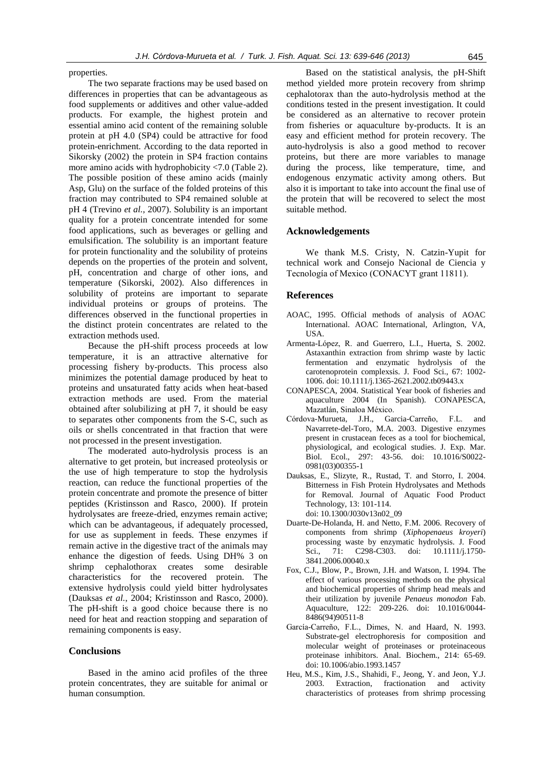properties.

The two separate fractions may be used based on differences in properties that can be advantageous as food supplements or additives and other value-added products. For example, the highest protein and essential amino acid content of the remaining soluble protein at pH 4.0 (SP4) could be attractive for food protein-enrichment. According to the data reported in Sikorsky [\(2002\)](#page-7-17) the protein in SP4 fraction contains more amino acids with hydrophobicity <7.0 (Table 2). The possible position of these amino acids (mainly Asp, Glu) on the surface of the folded proteins of this fraction may contributed to SP4 remained soluble at pH 4 [\(Trevino](#page-7-19) *et al.*, 2007). Solubility is an important quality for a protein concentrate intended for some food applications, such as beverages or gelling and emulsification. The solubility is an important feature for protein functionality and the solubility of proteins depends on the properties of the protein and solvent, pH, concentration and charge of other ions, and temperature [\(Sikorski, 2002\)](#page-7-17). Also differences in solubility of proteins are important to separate individual proteins or groups of proteins. The differences observed in the functional properties in the distinct protein concentrates are related to the extraction methods used.

Because the pH-shift process proceeds at low temperature, it is an attractive alternative for processing fishery by-products. This process also minimizes the potential damage produced by heat to proteins and unsaturated fatty acids when heat-based extraction methods are used. From the material obtained after solubilizing at pH 7, it should be easy to separates other components from the S-C, such as oils or shells concentrated in that fraction that were not processed in the present investigation.

The moderated auto-hydrolysis process is an alternative to get protein, but increased proteolysis or the use of high temperature to stop the hydrolysis reaction, can reduce the functional properties of the protein concentrate and promote the presence of bitter peptides [\(Kristinsson and Rasco, 2000\)](#page-7-20). If protein hydrolysates are freeze-dried, enzymes remain active; which can be advantageous, if adequately processed, for use as supplement in feeds. These enzymes if remain active in the digestive tract of the animals may enhance the digestion of feeds. Using DH% 3 on shrimp cephalothorax creates some desirable characteristics for the recovered protein. The extensive hydrolysis could yield bitter hydrolysates [\(Dauksas](#page-6-8) *et al.*, 2004; [Kristinsson and Rasco, 2000\)](#page-7-20). The pH-shift is a good choice because there is no need for heat and reaction stopping and separation of remaining components is easy.

#### **Conclusions**

Based in the amino acid profiles of the three protein concentrates, they are suitable for animal or human consumption.

Based on the statistical analysis, the pH-Shift method yielded more protein recovery from shrimp cephalotorax than the auto-hydrolysis method at the conditions tested in the present investigation. It could be considered as an alternative to recover protein from fisheries or aquaculture by-products. It is an easy and efficient method for protein recovery. The auto-hydrolysis is also a good method to recover proteins, but there are more variables to manage during the process, like temperature, time, and endogenous enzymatic activity among others. But also it is important to take into account the final use of the protein that will be recovered to select the most suitable method.

## **Acknowledgements**

We thank M.S. Cristy, N. Catzin-Yupit for technical work and Consejo Nacional de Ciencia y Tecnología of Mexico (CONACYT grant 11811).

# **References**

- <span id="page-6-5"></span>AOAC, 1995. Official methods of analysis of AOAC International. AOAC International, Arlington, VA, USA.
- <span id="page-6-1"></span>Armenta-López, R. and Guerrero, L.I., Huerta, S. 2002. Astaxanthin extraction from shrimp waste by lactic fermentation and enzymatic hydrolysis of the carotenoprotein complexsis. J. Food Sci., 67: 1002- 1006. doi: 10.1111/j.1365-2621.2002.tb09443.x
- <span id="page-6-0"></span>CONAPESCA, 2004. Statistical Year book of fisheries and aquaculture 2004 (In Spanish). CONAPESCA, Mazatlán, Sinaloa México.
- <span id="page-6-6"></span>Córdova-Murueta, J.H., Garcia-Carreño, F.L. and Navarrete-del-Toro, M.A. 2003. Digestive enzymes present in crustacean feces as a tool for biochemical, physiological, and ecological studies. J. Exp. Mar. Biol. Ecol., 297: 43-56. doi: 10.1016/S0022- 0981(03)00355-1
- <span id="page-6-8"></span>Dauksas, E., Slizyte, R., Rustad, T. and Storro, I. 2004. Bitterness in Fish Protein Hydrolysates and Methods for Removal. Journal of Aquatic Food Product Technology, 13: 101-114. doi: 10.1300/J030v13n02\_09
- <span id="page-6-2"></span>Duarte-De-Holanda, H. and Netto, F.M. 2006. Recovery of components from shrimp (*Xiphopenaeus kroyeri*) processing waste by enzymatic hydrolysis. J. Food Sci., 71: C298-C303. doi: 10.1111/j.1750- 3841.2006.00040.x
- <span id="page-6-3"></span>Fox, C.J., Blow, P., Brown, J.H. and Watson, I. 1994. The effect of various processing methods on the physical and biochemical properties of shrimp head meals and their utilization by juvenile *Penaeus monodon* Fab. Aquaculture, 122: 209-226. doi: 10.1016/0044- 8486(94)90511-8
- <span id="page-6-7"></span>García-Carreño, F.L., Dimes, N. and Haard, N. 1993. Substrate-gel electrophoresis for composition and molecular weight of proteinases or proteinaceous proteinase inhibitors. Anal. Biochem., 214: 65-69. doi: 10.1006/abio.1993.1457
- <span id="page-6-4"></span>Heu, M.S., Kim, J.S., Shahidi, F., Jeong, Y. and Jeon, Y.J. 2003. Extraction, fractionation and activity characteristics of proteases from shrimp processing